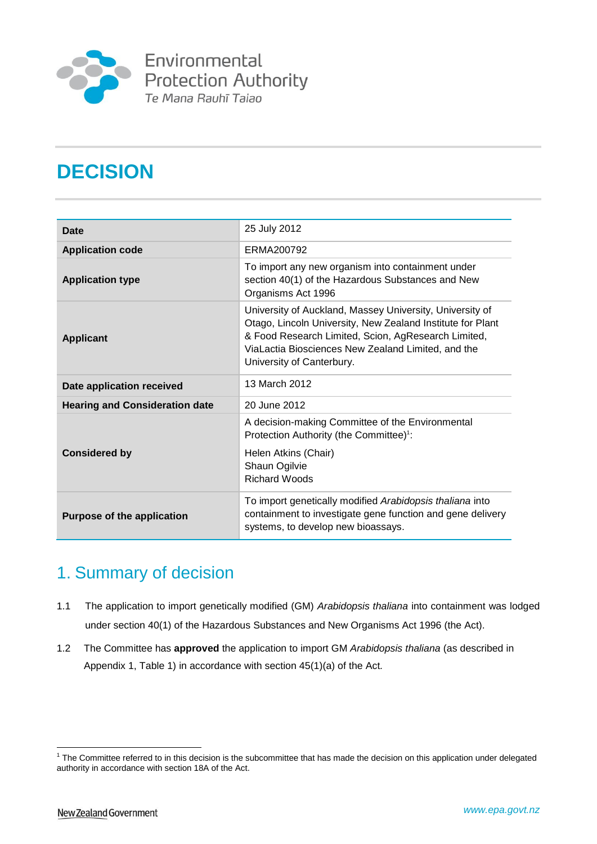

Environmental Protection Authority<br>Te Mana Rauhī Taiao

# **DECISION**

| <b>Date</b>                           | 25 July 2012                                                                                                                                                                                                                                                     |  |
|---------------------------------------|------------------------------------------------------------------------------------------------------------------------------------------------------------------------------------------------------------------------------------------------------------------|--|
| <b>Application code</b>               | ERMA200792                                                                                                                                                                                                                                                       |  |
| <b>Application type</b>               | To import any new organism into containment under<br>section 40(1) of the Hazardous Substances and New<br>Organisms Act 1996                                                                                                                                     |  |
| <b>Applicant</b>                      | University of Auckland, Massey University, University of<br>Otago, Lincoln University, New Zealand Institute for Plant<br>& Food Research Limited, Scion, AgResearch Limited,<br>ViaLactia Biosciences New Zealand Limited, and the<br>University of Canterbury. |  |
| Date application received             | 13 March 2012                                                                                                                                                                                                                                                    |  |
| <b>Hearing and Consideration date</b> | 20 June 2012                                                                                                                                                                                                                                                     |  |
|                                       | A decision-making Committee of the Environmental<br>Protection Authority (the Committee) <sup>1</sup> :                                                                                                                                                          |  |
| <b>Considered by</b>                  | Helen Atkins (Chair)<br>Shaun Ogilvie<br><b>Richard Woods</b>                                                                                                                                                                                                    |  |
| <b>Purpose of the application</b>     | To import genetically modified Arabidopsis thaliana into<br>containment to investigate gene function and gene delivery<br>systems, to develop new bioassays.                                                                                                     |  |

# 1. Summary of decision

- 1.1 The application to import genetically modified (GM) *Arabidopsis thaliana* into containment was lodged under section 40(1) of the Hazardous Substances and New Organisms Act 1996 (the Act).
- 1.2 The Committee has **approved** the application to import GM *Arabidopsis thaliana* (as described in Appendix 1, Table 1) in accordance with section 45(1)(a) of the Act*.*

<u>.</u>

 $1$  The Committee referred to in this decision is the subcommittee that has made the decision on this application under delegated authority in accordance with section 18A of the Act.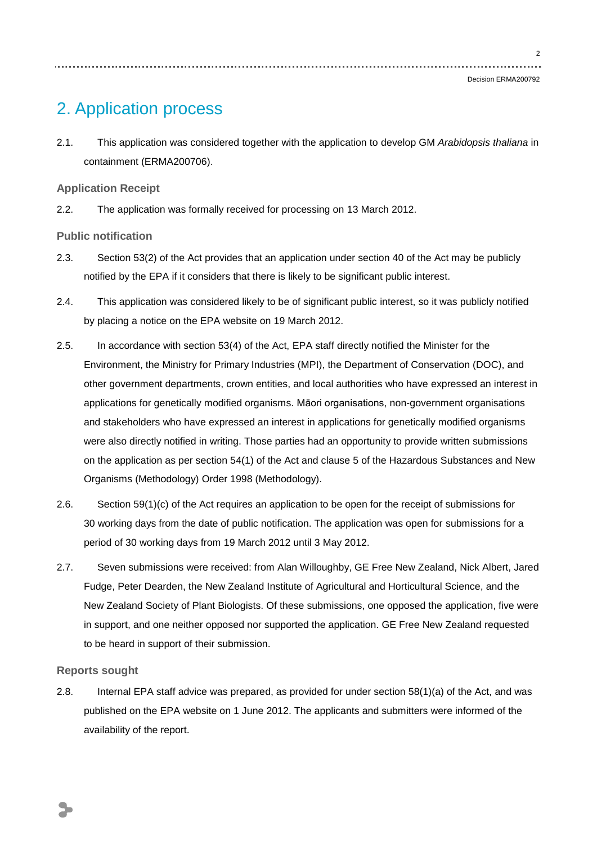# 2. Application process

2.1. This application was considered together with the application to develop GM *Arabidopsis thaliana* in containment (ERMA200706).

**Application Receipt**

2.2. The application was formally received for processing on 13 March 2012.

**Public notification** 

- 2.3. Section 53(2) of the Act provides that an application under section 40 of the Act may be publicly notified by the EPA if it considers that there is likely to be significant public interest.
- 2.4. This application was considered likely to be of significant public interest, so it was publicly notified by placing a notice on the EPA website on 19 March 2012.
- 2.5. In accordance with section 53(4) of the Act, EPA staff directly notified the Minister for the Environment, the Ministry for Primary Industries (MPI), the Department of Conservation (DOC), and other government departments, crown entities, and local authorities who have expressed an interest in applications for genetically modified organisms. Māori organisations, non-government organisations and stakeholders who have expressed an interest in applications for genetically modified organisms were also directly notified in writing. Those parties had an opportunity to provide written submissions on the application as per section 54(1) of the Act and clause 5 of the Hazardous Substances and New Organisms (Methodology) Order 1998 (Methodology).
- 2.6. Section 59(1)(c) of the Act requires an application to be open for the receipt of submissions for 30 working days from the date of public notification. The application was open for submissions for a period of 30 working days from 19 March 2012 until 3 May 2012.
- 2.7. Seven submissions were received: from Alan Willoughby, GE Free New Zealand, Nick Albert, Jared Fudge, Peter Dearden, the New Zealand Institute of Agricultural and Horticultural Science, and the New Zealand Society of Plant Biologists. Of these submissions, one opposed the application, five were in support, and one neither opposed nor supported the application. GE Free New Zealand requested to be heard in support of their submission.

## **Reports sought**

2.8. Internal EPA staff advice was prepared, as provided for under section 58(1)(a) of the Act, and was published on the EPA website on 1 June 2012. The applicants and submitters were informed of the availability of the report.

 $\overline{2}$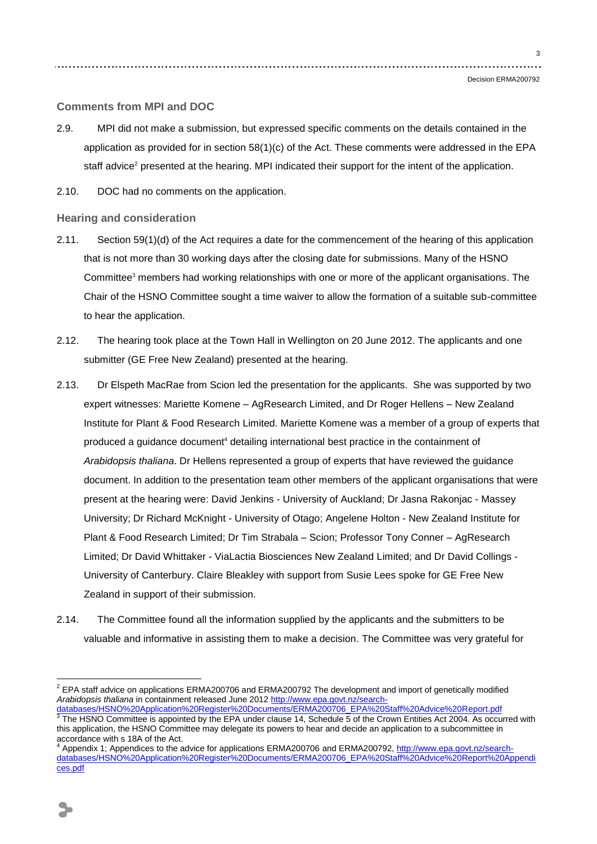Decision ERMA200792

### **Comments from MPI and DOC**

- 2.9. MPI did not make a submission, but expressed specific comments on the details contained in the application as provided for in section 58(1)(c) of the Act. These comments were addressed in the EPA staff advice<sup>2</sup> presented at the hearing. MPI indicated their support for the intent of the application.
- 2.10. DOC had no comments on the application.

### **Hearing and consideration**

- 2.11. Section 59(1)(d) of the Act requires a date for the commencement of the hearing of this application that is not more than 30 working days after the closing date for submissions. Many of the HSNO Committee<sup>3</sup> members had working relationships with one or more of the applicant organisations. The Chair of the HSNO Committee sought a time waiver to allow the formation of a suitable sub-committee to hear the application.
- 2.12. The hearing took place at the Town Hall in Wellington on 20 June 2012. The applicants and one submitter (GE Free New Zealand) presented at the hearing.
- 2.13. Dr Elspeth MacRae from Scion led the presentation for the applicants. She was supported by two expert witnesses: Mariette Komene – AgResearch Limited, and Dr Roger Hellens – New Zealand Institute for Plant & Food Research Limited. Mariette Komene was a member of a group of experts that produced a guidance document<sup>4</sup> detailing international best practice in the containment of *Arabidopsis thaliana*. Dr Hellens represented a group of experts that have reviewed the guidance document. In addition to the presentation team other members of the applicant organisations that were present at the hearing were: David Jenkins - University of Auckland; Dr Jasna Rakonjac - Massey University; Dr Richard McKnight - University of Otago; Angelene Holton - New Zealand Institute for Plant & Food Research Limited; Dr Tim Strabala – Scion; Professor Tony Conner – AgResearch Limited; Dr David Whittaker - ViaLactia Biosciences New Zealand Limited; and Dr David Collings - University of Canterbury. Claire Bleakley with support from Susie Lees spoke for GE Free New Zealand in support of their submission.
- 2.14. The Committee found all the information supplied by the applicants and the submitters to be valuable and informative in assisting them to make a decision. The Committee was very grateful for

1

<sup>&</sup>lt;sup>2</sup> EPA staff advice on applications ERMA200706 and ERMA200792 The development and import of genetically modified *Arabidopsis thaliana* in containment released June 2012 [http://www.epa.govt.nz/search-](http://www.epa.govt.nz/search-databases/HSNO%20Application%20Register%20Documents/ERMA200706_EPA%20Staff%20Advice%20Report.pdf)

<sup>&</sup>lt;u>[databases/HSNO%20Application%20Register%20Documents/ERMA200706\\_EPA%20Staff%20Advice%20Report.pdf](http://www.epa.govt.nz/search-databases/HSNO%20Application%20Register%20Documents/ERMA200706_EPA%20Staff%20Advice%20Report.pdf)</u><br><sup>3</sup> The HSNO Committee is appointed by the EPA under clause 14, Schedule 5 of the Crown Entities Act 2004. As occurred with this application, the HSNO Committee may delegate its powers to hear and decide an application to a subcommittee in accordance with s 18A of the Act.

<sup>4</sup> Appendix 1; Appendices to the advice for applications ERMA200706 and ERMA200792[, http://www.epa.govt.nz/search](http://www.epa.govt.nz/search-databases/HSNO%20Application%20Register%20Documents/ERMA200706_EPA%20Staff%20Advice%20Report%20Appendices.pdf)[databases/HSNO%20Application%20Register%20Documents/ERMA200706\\_EPA%20Staff%20Advice%20Report%20Appendi](http://www.epa.govt.nz/search-databases/HSNO%20Application%20Register%20Documents/ERMA200706_EPA%20Staff%20Advice%20Report%20Appendices.pdf) [ces.pdf](http://www.epa.govt.nz/search-databases/HSNO%20Application%20Register%20Documents/ERMA200706_EPA%20Staff%20Advice%20Report%20Appendices.pdf)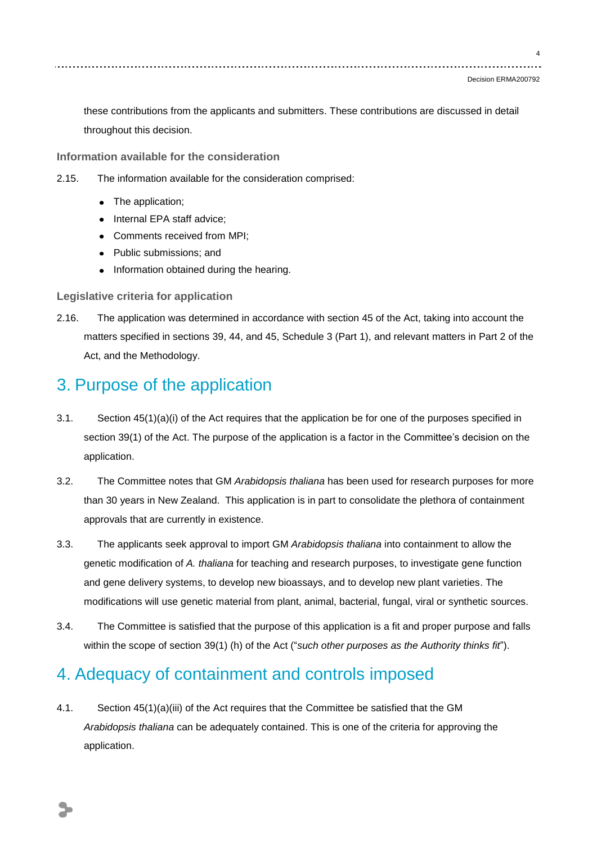these contributions from the applicants and submitters. These contributions are discussed in detail throughout this decision.

**Information available for the consideration**

- 2.15. The information available for the consideration comprised:
	- The application;
	- Internal EPA staff advice;
	- Comments received from MPI;
	- Public submissions; and
	- Information obtained during the hearing.

**Legislative criteria for application**

2.16. The application was determined in accordance with section 45 of the Act, taking into account the matters specified in sections 39, 44, and 45, Schedule 3 (Part 1), and relevant matters in Part 2 of the Act, and the Methodology.

## 3. Purpose of the application

- 3.1. Section 45(1)(a)(i) of the Act requires that the application be for one of the purposes specified in section 39(1) of the Act. The purpose of the application is a factor in the Committee's decision on the application.
- 3.2. The Committee notes that GM *Arabidopsis thaliana* has been used for research purposes for more than 30 years in New Zealand. This application is in part to consolidate the plethora of containment approvals that are currently in existence.
- 3.3. The applicants seek approval to import GM *Arabidopsis thaliana* into containment to allow the genetic modification of *A. thaliana* for teaching and research purposes, to investigate gene function and gene delivery systems, to develop new bioassays, and to develop new plant varieties. The modifications will use genetic material from plant, animal, bacterial, fungal, viral or synthetic sources.
- 3.4. The Committee is satisfied that the purpose of this application is a fit and proper purpose and falls within the scope of section 39(1) (h) of the Act ("*such other purposes as the Authority thinks fit*").

## 4. Adequacy of containment and controls imposed

4.1. Section 45(1)(a)(iii) of the Act requires that the Committee be satisfied that the GM *Arabidopsis thaliana* can be adequately contained. This is one of the criteria for approving the application.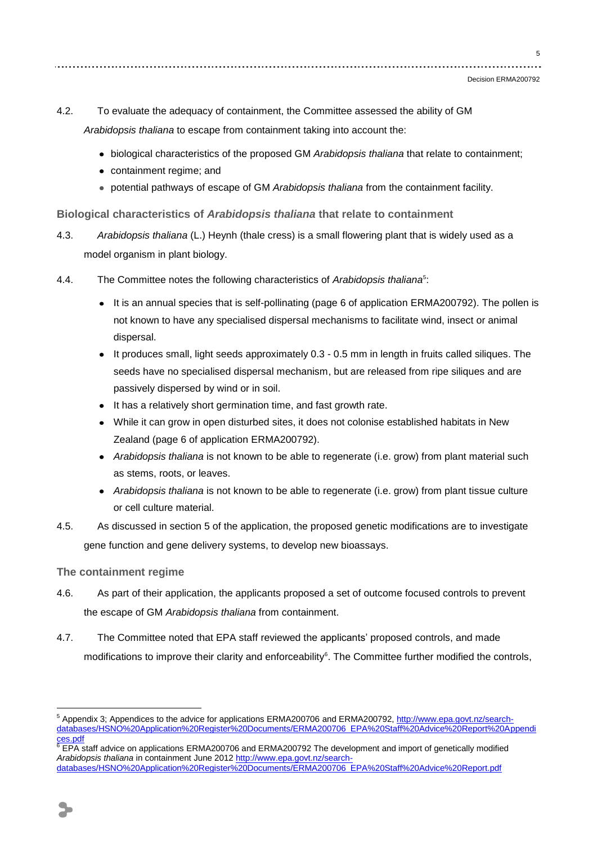- 4.2. To evaluate the adequacy of containment, the Committee assessed the ability of GM *Arabidopsis thaliana* to escape from containment taking into account the:
	- biological characteristics of the proposed GM *Arabidopsis thaliana* that relate to containment;
	- containment regime; and
	- potential pathways of escape of GM *Arabidopsis thaliana* from the containment facility.

**Biological characteristics of** *Arabidopsis thaliana* **that relate to containment**

- 4.3. *Arabidopsis thaliana* (L.) Heynh (thale cress) is a small flowering plant that is widely used as a model organism in plant biology.
- 4.4. The Committee notes the following characteristics of *Arabidopsis thaliana*<sup>5</sup> :
	- It is an annual species that is self-pollinating (page 6 of application ERMA200792). The pollen is not known to have any specialised dispersal mechanisms to facilitate wind, insect or animal dispersal.
	- It produces small, light seeds approximately 0.3 0.5 mm in length in fruits called siliques. The seeds have no specialised dispersal mechanism, but are released from ripe siliques and are passively dispersed by wind or in soil.
	- It has a relatively short germination time, and fast growth rate.
	- While it can grow in open disturbed sites, it does not colonise established habitats in New Zealand (page 6 of application ERMA200792).
	- *Arabidopsis thaliana* is not known to be able to regenerate (i.e. grow) from plant material such as stems, roots, or leaves.
	- *Arabidopsis thaliana* is not known to be able to regenerate (i.e. grow) from plant tissue culture or cell culture material.
- 4.5. As discussed in section 5 of the application, the proposed genetic modifications are to investigate gene function and gene delivery systems, to develop new bioassays.

## **The containment regime**

- 4.6. As part of their application, the applicants proposed a set of outcome focused controls to prevent the escape of GM *Arabidopsis thaliana* from containment.
- 4.7. The Committee noted that EPA staff reviewed the applicants" proposed controls, and made modifications to improve their clarity and enforceability<sup>6</sup>. The Committee further modified the controls,

<sup>1</sup> <sup>5</sup> Appendix 3; Appendices to the advice for applications ERMA200706 and ERMA200792[, http://www.epa.govt.nz/search](http://www.epa.govt.nz/search-databases/HSNO%20Application%20Register%20Documents/ERMA200706_EPA%20Staff%20Advice%20Report%20Appendices.pdf)[databases/HSNO%20Application%20Register%20Documents/ERMA200706\\_EPA%20Staff%20Advice%20Report%20Appendi](http://www.epa.govt.nz/search-databases/HSNO%20Application%20Register%20Documents/ERMA200706_EPA%20Staff%20Advice%20Report%20Appendices.pdf) [ces.pdf](http://www.epa.govt.nz/search-databases/HSNO%20Application%20Register%20Documents/ERMA200706_EPA%20Staff%20Advice%20Report%20Appendices.pdf)

<sup>6</sup> EPA staff advice on applications ERMA200706 and ERMA200792 The development and import of genetically modified *Arabidopsis thaliana* in containment June 2012 [http://www.epa.govt.nz/search](http://www.epa.govt.nz/search-databases/HSNO%20Application%20Register%20Documents/ERMA200706_EPA%20Staff%20Advice%20Report.pdf)[databases/HSNO%20Application%20Register%20Documents/ERMA200706\\_EPA%20Staff%20Advice%20Report.pdf](http://www.epa.govt.nz/search-databases/HSNO%20Application%20Register%20Documents/ERMA200706_EPA%20Staff%20Advice%20Report.pdf)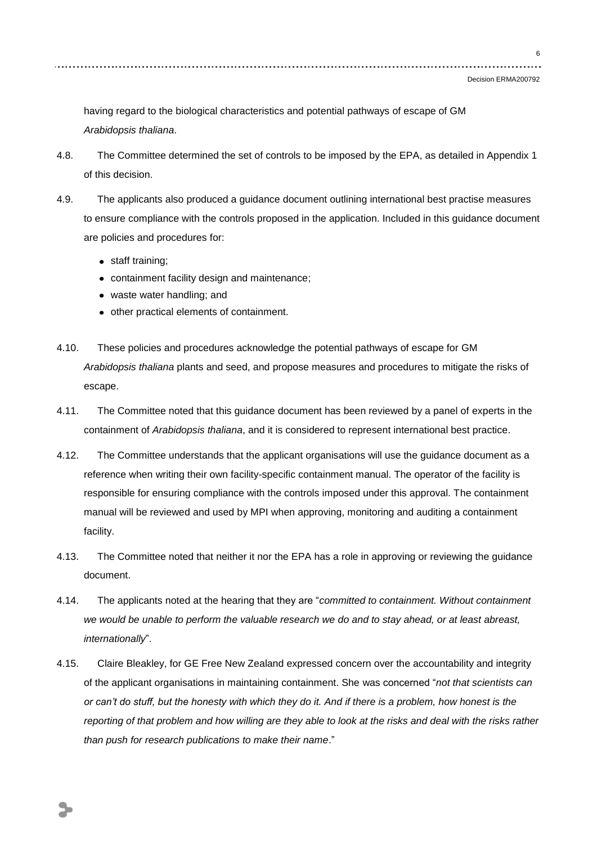6

having regard to the biological characteristics and potential pathways of escape of GM *Arabidopsis thaliana*.

- 4.8. The Committee determined the set of controls to be imposed by the EPA, as detailed in Appendix 1 of this decision.
- 4.9. The applicants also produced a guidance document outlining international best practise measures to ensure compliance with the controls proposed in the application. Included in this guidance document are policies and procedures for:
	- staff training;
	- containment facility design and maintenance;
	- waste water handling; and
	- other practical elements of containment.
- 4.10. These policies and procedures acknowledge the potential pathways of escape for GM *Arabidopsis thaliana* plants and seed, and propose measures and procedures to mitigate the risks of escape.
- 4.11. The Committee noted that this guidance document has been reviewed by a panel of experts in the containment of *Arabidopsis thaliana*, and it is considered to represent international best practice.
- 4.12. The Committee understands that the applicant organisations will use the guidance document as a reference when writing their own facility-specific containment manual. The operator of the facility is responsible for ensuring compliance with the controls imposed under this approval. The containment manual will be reviewed and used by MPI when approving, monitoring and auditing a containment facility.
- 4.13. The Committee noted that neither it nor the EPA has a role in approving or reviewing the guidance document.
- 4.14. The applicants noted at the hearing that they are "*committed to containment. Without containment we would be unable to perform the valuable research we do and to stay ahead, or at least abreast, internationally*".
- 4.15. Claire Bleakley, for GE Free New Zealand expressed concern over the accountability and integrity of the applicant organisations in maintaining containment. She was concerned "*not that scientists can or can't do stuff, but the honesty with which they do it. And if there is a problem, how honest is the reporting of that problem and how willing are they able to look at the risks and deal with the risks rather than push for research publications to make their name*."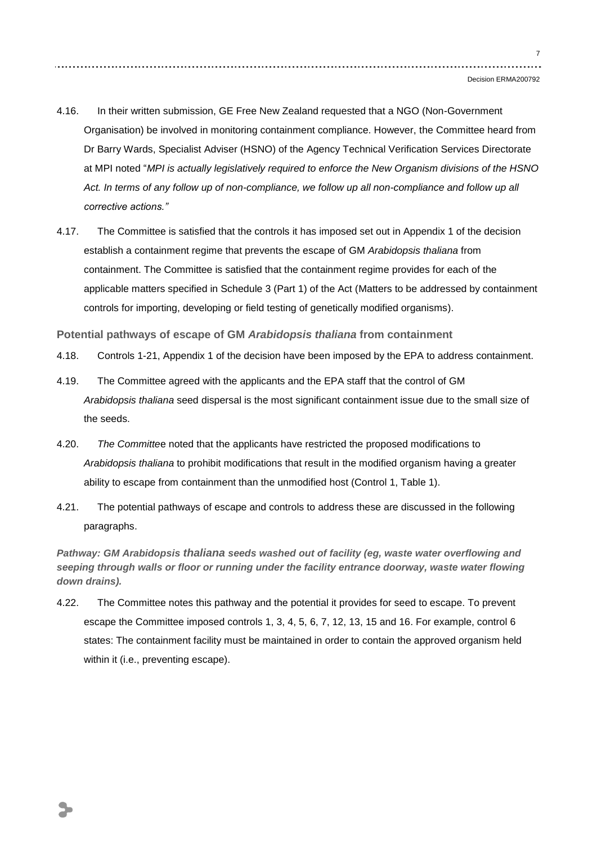- 4.16. In their written submission, GE Free New Zealand requested that a NGO (Non-Government Organisation) be involved in monitoring containment compliance. However, the Committee heard from Dr Barry Wards, Specialist Adviser (HSNO) of the Agency Technical Verification Services Directorate at MPI noted "*MPI is actually legislatively required to enforce the New Organism divisions of the HSNO*  Act. In terms of any follow up of non-compliance, we follow up all non-compliance and follow up all *corrective actions."*
- 4.17. The Committee is satisfied that the controls it has imposed set out in Appendix 1 of the decision establish a containment regime that prevents the escape of GM *Arabidopsis thaliana* from containment. The Committee is satisfied that the containment regime provides for each of the applicable matters specified in Schedule 3 (Part 1) of the Act (Matters to be addressed by containment controls for importing, developing or field testing of genetically modified organisms).

**Potential pathways of escape of GM** *Arabidopsis thaliana* **from containment**

- 4.18. Controls 1-21, Appendix 1 of the decision have been imposed by the EPA to address containment.
- 4.19. The Committee agreed with the applicants and the EPA staff that the control of GM *Arabidopsis thaliana* seed dispersal is the most significant containment issue due to the small size of the seeds.
- 4.20. *The Committe*e noted that the applicants have restricted the proposed modifications to *Arabidopsis thaliana* to prohibit modifications that result in the modified organism having a greater ability to escape from containment than the unmodified host (Control 1, Table 1).
- 4.21. The potential pathways of escape and controls to address these are discussed in the following paragraphs.

*Pathway: GM Arabidopsis thaliana seeds washed out of facility (eg, waste water overflowing and seeping through walls or floor or running under the facility entrance doorway, waste water flowing down drains).*

4.22. The Committee notes this pathway and the potential it provides for seed to escape. To prevent escape the Committee imposed controls 1, 3, 4, 5, 6, 7, 12, 13, 15 and 16. For example, control 6 states: The containment facility must be maintained in order to contain the approved organism held within it (i.e., preventing escape).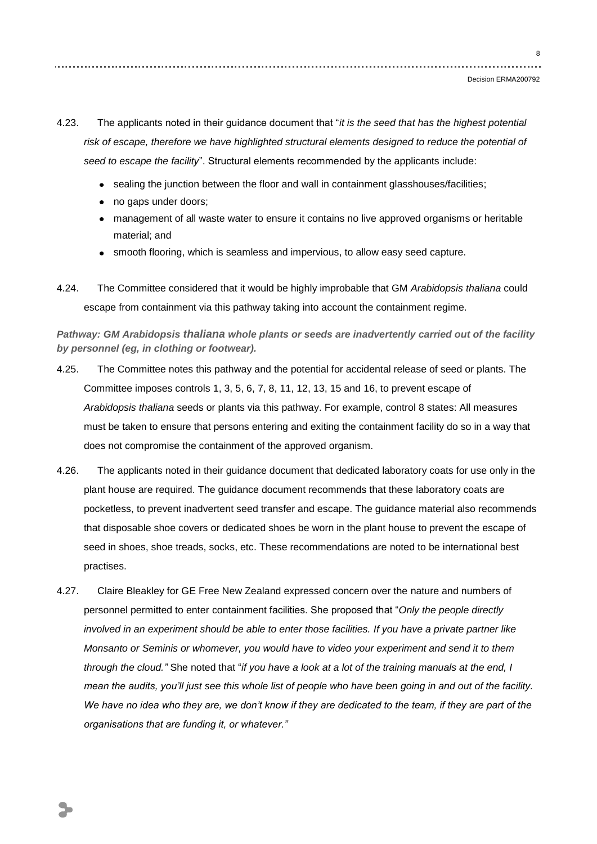4.23. The applicants noted in their guidance document that "*it is the seed that has the highest potential risk of escape, therefore we have highlighted structural elements designed to reduce the potential of seed to escape the facility*". Structural elements recommended by the applicants include:

- sealing the junction between the floor and wall in containment glasshouses/facilities;
- no gaps under doors;
- management of all waste water to ensure it contains no live approved organisms or heritable material; and
- smooth flooring, which is seamless and impervious, to allow easy seed capture.
- 4.24. The Committee considered that it would be highly improbable that GM *Arabidopsis thaliana* could escape from containment via this pathway taking into account the containment regime.

*Pathway: GM Arabidopsis thaliana whole plants or seeds are inadvertently carried out of the facility by personnel (eg, in clothing or footwear).*

- 4.25. The Committee notes this pathway and the potential for accidental release of seed or plants. The Committee imposes controls 1, 3, 5, 6, 7, 8, 11, 12, 13, 15 and 16, to prevent escape of *Arabidopsis thaliana* seeds or plants via this pathway. For example, control 8 states: All measures must be taken to ensure that persons entering and exiting the containment facility do so in a way that does not compromise the containment of the approved organism.
- 4.26. The applicants noted in their guidance document that dedicated laboratory coats for use only in the plant house are required. The guidance document recommends that these laboratory coats are pocketless, to prevent inadvertent seed transfer and escape. The guidance material also recommends that disposable shoe covers or dedicated shoes be worn in the plant house to prevent the escape of seed in shoes, shoe treads, socks, etc. These recommendations are noted to be international best practises.
- 4.27. Claire Bleakley for GE Free New Zealand expressed concern over the nature and numbers of personnel permitted to enter containment facilities. She proposed that "*Only the people directly involved in an experiment should be able to enter those facilities. If you have a private partner like Monsanto or Seminis or whomever, you would have to video your experiment and send it to them through the cloud."* She noted that "*if you have a look at a lot of the training manuals at the end, I mean the audits, you'll just see this whole list of people who have been going in and out of the facility. We have no idea who they are, we don't know if they are dedicated to the team, if they are part of the organisations that are funding it, or whatever."*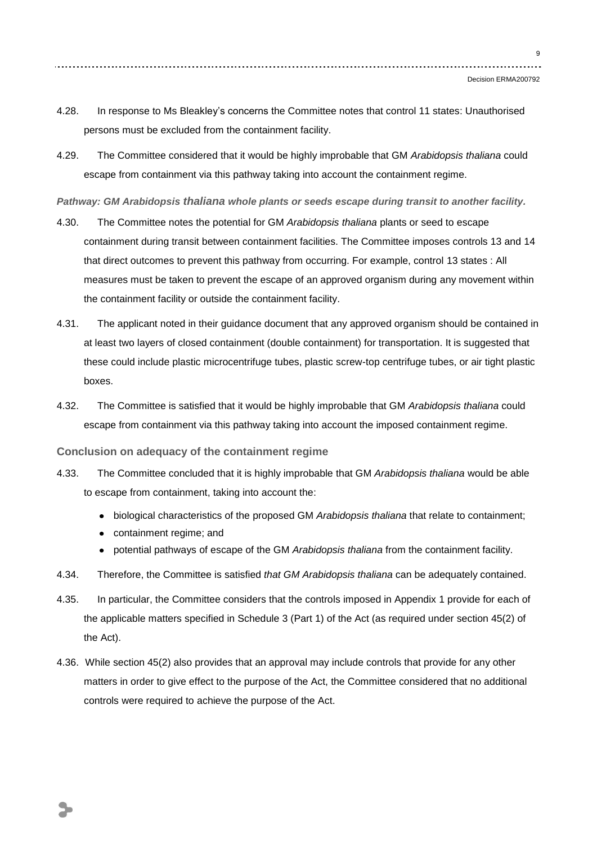- 4.28. In response to Ms Bleakley"s concerns the Committee notes that control 11 states: Unauthorised persons must be excluded from the containment facility.
- 4.29. The Committee considered that it would be highly improbable that GM *Arabidopsis thaliana* could escape from containment via this pathway taking into account the containment regime.

*Pathway: GM Arabidopsis thaliana whole plants or seeds escape during transit to another facility.*

- 4.30. The Committee notes the potential for GM *Arabidopsis thaliana* plants or seed to escape containment during transit between containment facilities. The Committee imposes controls 13 and 14 that direct outcomes to prevent this pathway from occurring. For example, control 13 states : All measures must be taken to prevent the escape of an approved organism during any movement within the containment facility or outside the containment facility.
- 4.31. The applicant noted in their guidance document that any approved organism should be contained in at least two layers of closed containment (double containment) for transportation. It is suggested that these could include plastic microcentrifuge tubes, plastic screw-top centrifuge tubes, or air tight plastic boxes.
- 4.32. The Committee is satisfied that it would be highly improbable that GM *Arabidopsis thaliana* could escape from containment via this pathway taking into account the imposed containment regime.

**Conclusion on adequacy of the containment regime**

- 4.33. The Committee concluded that it is highly improbable that GM *Arabidopsis thaliana* would be able to escape from containment, taking into account the:
	- biological characteristics of the proposed GM *Arabidopsis thaliana* that relate to containment;
	- containment regime: and
	- potential pathways of escape of the GM *Arabidopsis thaliana* from the containment facility.
- 4.34. Therefore, the Committee is satisfied *that GM Arabidopsis thaliana* can be adequately contained.
- 4.35. In particular, the Committee considers that the controls imposed in Appendix 1 provide for each of the applicable matters specified in Schedule 3 (Part 1) of the Act (as required under section 45(2) of the Act).
- 4.36. While section 45(2) also provides that an approval may include controls that provide for any other matters in order to give effect to the purpose of the Act, the Committee considered that no additional controls were required to achieve the purpose of the Act.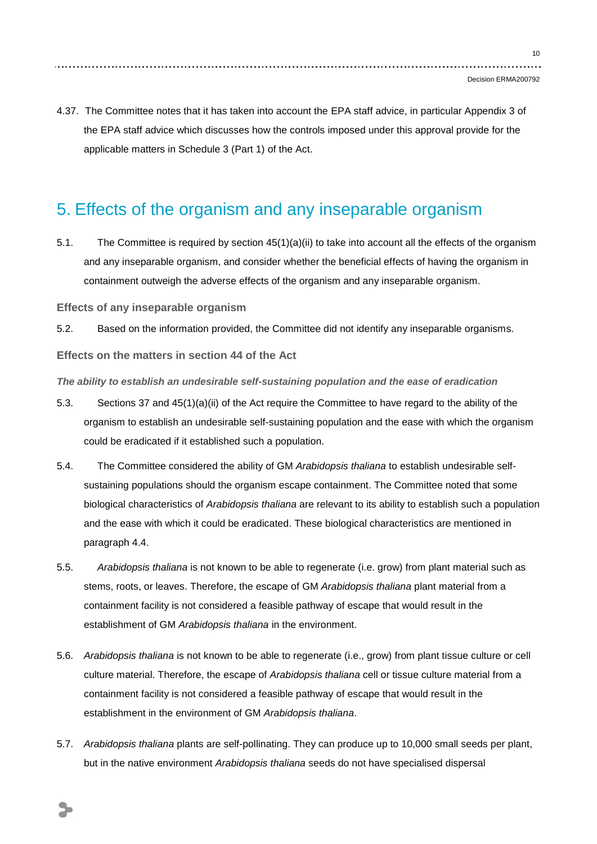4.37. The Committee notes that it has taken into account the EPA staff advice, in particular Appendix 3 of the EPA staff advice which discusses how the controls imposed under this approval provide for the applicable matters in Schedule 3 (Part 1) of the Act.

## 5. Effects of the organism and any inseparable organism

5.1. The Committee is required by section 45(1)(a)(ii) to take into account all the effects of the organism and any inseparable organism, and consider whether the beneficial effects of having the organism in containment outweigh the adverse effects of the organism and any inseparable organism.

**Effects of any inseparable organism**

5.2. Based on the information provided, the Committee did not identify any inseparable organisms.

**Effects on the matters in section 44 of the Act**

*The ability to establish an undesirable self-sustaining population and the ease of eradication* 

- 5.3. Sections 37 and 45(1)(a)(ii) of the Act require the Committee to have regard to the ability of the organism to establish an undesirable self-sustaining population and the ease with which the organism could be eradicated if it established such a population.
- 5.4. The Committee considered the ability of GM *Arabidopsis thaliana* to establish undesirable selfsustaining populations should the organism escape containment. The Committee noted that some biological characteristics of *Arabidopsis thaliana* are relevant to its ability to establish such a population and the ease with which it could be eradicated. These biological characteristics are mentioned in paragraph 4.4.
- 5.5. *Arabidopsis thaliana* is not known to be able to regenerate (i.e. grow) from plant material such as stems, roots, or leaves. Therefore, the escape of GM *Arabidopsis thaliana* plant material from a containment facility is not considered a feasible pathway of escape that would result in the establishment of GM *Arabidopsis thaliana* in the environment.
- 5.6. *Arabidopsis thaliana* is not known to be able to regenerate (i.e., grow) from plant tissue culture or cell culture material. Therefore, the escape of *Arabidopsis thaliana* cell or tissue culture material from a containment facility is not considered a feasible pathway of escape that would result in the establishment in the environment of GM *Arabidopsis thaliana*.
- 5.7. *Arabidopsis thaliana* plants are self-pollinating. They can produce up to 10,000 small seeds per plant, but in the native environment *Arabidopsis thaliana* seeds do not have specialised dispersal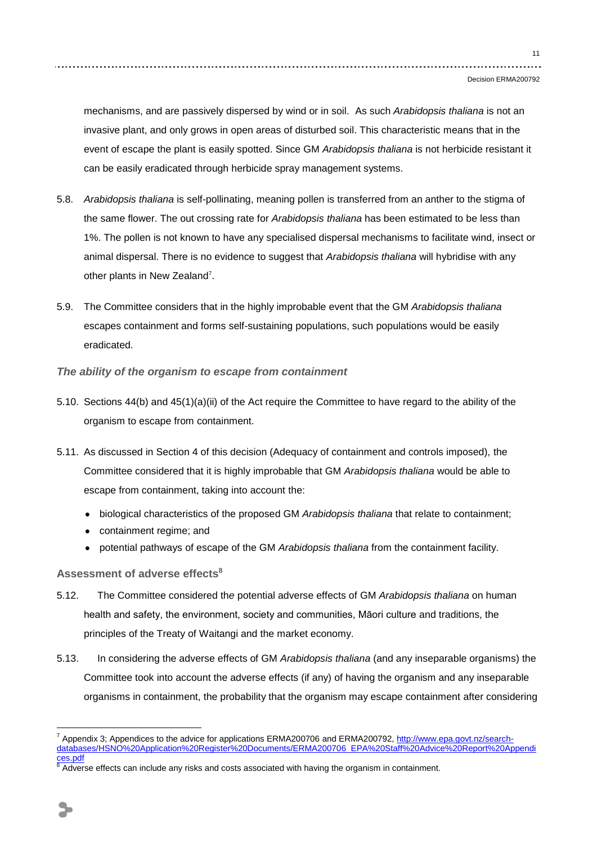#### Decision ERMA200792

mechanisms, and are passively dispersed by wind or in soil. As such *Arabidopsis thaliana* is not an invasive plant, and only grows in open areas of disturbed soil. This characteristic means that in the event of escape the plant is easily spotted. Since GM *Arabidopsis thaliana* is not herbicide resistant it can be easily eradicated through herbicide spray management systems.

- 5.8. *Arabidopsis thaliana* is self-pollinating, meaning pollen is transferred from an anther to the stigma of the same flower. The out crossing rate for *Arabidopsis thaliana* has been estimated to be less than 1%. The pollen is not known to have any specialised dispersal mechanisms to facilitate wind, insect or animal dispersal. There is no evidence to suggest that *Arabidopsis thaliana* will hybridise with any other plants in New Zealand<sup>7</sup>.
- 5.9. The Committee considers that in the highly improbable event that the GM *Arabidopsis thaliana*  escapes containment and forms self-sustaining populations, such populations would be easily eradicated.
- *The ability of the organism to escape from containment*
- 5.10. Sections 44(b) and 45(1)(a)(ii) of the Act require the Committee to have regard to the ability of the organism to escape from containment.
- 5.11. As discussed in Section 4 of this decision (Adequacy of containment and controls imposed), the Committee considered that it is highly improbable that GM *Arabidopsis thaliana* would be able to escape from containment, taking into account the:
	- biological characteristics of the proposed GM *Arabidopsis thaliana* that relate to containment;
	- containment regime; and
	- potential pathways of escape of the GM *Arabidopsis thaliana* from the containment facility.

## **Assessment of adverse effects<sup>8</sup>**

- 5.12. The Committee considered th*e* potential adverse effects of GM *Arabidopsis thaliana* on human health and safety, the environment, society and communities, Māori culture and traditions, the principles of the Treaty of Waitangi and the market economy.
- 5.13. In considering the adverse effects of GM *Arabidopsis thaliana* (and any inseparable organisms) the Committee took into account the adverse effects (if any) of having the organism and any inseparable organisms in containment, the probability that the organism may escape containment after considering

1

Appendix 3; Appendices to the advice for applications ERMA200706 and ERMA200792[, http://www.epa.govt.nz/search](http://www.epa.govt.nz/search-databases/HSNO%20Application%20Register%20Documents/ERMA200706_EPA%20Staff%20Advice%20Report%20Appendices.pdf)[databases/HSNO%20Application%20Register%20Documents/ERMA200706\\_EPA%20Staff%20Advice%20Report%20Appendi](http://www.epa.govt.nz/search-databases/HSNO%20Application%20Register%20Documents/ERMA200706_EPA%20Staff%20Advice%20Report%20Appendices.pdf) [ces.pdf](http://www.epa.govt.nz/search-databases/HSNO%20Application%20Register%20Documents/ERMA200706_EPA%20Staff%20Advice%20Report%20Appendices.pdf)

Adverse effects can include any risks and costs associated with having the organism in containment.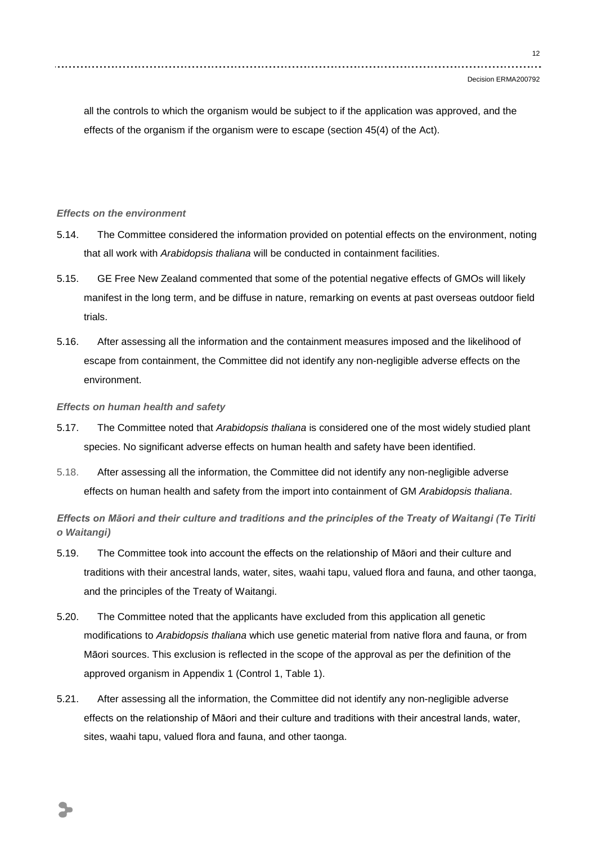all the controls to which the organism would be subject to if the application was approved, and the effects of the organism if the organism were to escape (section 45(4) of the Act).

## *Effects on the environment*

- 5.14. The Committee considered the information provided on potential effects on the environment, noting that all work with *Arabidopsis thaliana* will be conducted in containment facilities.
- 5.15. GE Free New Zealand commented that some of the potential negative effects of GMOs will likely manifest in the long term, and be diffuse in nature, remarking on events at past overseas outdoor field trials.
- 5.16. After assessing all the information and the containment measures imposed and the likelihood of escape from containment, the Committee did not identify any non-negligible adverse effects on the environment.

#### *Effects on human health and safety*

- 5.17. The Committee noted that *Arabidopsis thaliana* is considered one of the most widely studied plant species. No significant adverse effects on human health and safety have been identified.
- 5.18. After assessing all the information, the Committee did not identify any non-negligible adverse effects on human health and safety from the import into containment of GM *Arabidopsis thaliana*.

*Effects on Māori and their culture and traditions and the principles of the Treaty of Waitangi (Te Tiriti o Waitangi)*

- 5.19. The Committee took into account the effects on the relationship of Māori and their culture and traditions with their ancestral lands, water, sites, waahi tapu, valued flora and fauna, and other taonga, and the principles of the Treaty of Waitangi.
- 5.20. The Committee noted that the applicants have excluded from this application all genetic modifications to *Arabidopsis thaliana* which use genetic material from native flora and fauna, or from Māori sources. This exclusion is reflected in the scope of the approval as per the definition of the approved organism in Appendix 1 (Control 1, Table 1).
- 5.21. After assessing all the information, the Committee did not identify any non-negligible adverse effects on the relationship of Māori and their culture and traditions with their ancestral lands, water, sites, waahi tapu, valued flora and fauna, and other taonga.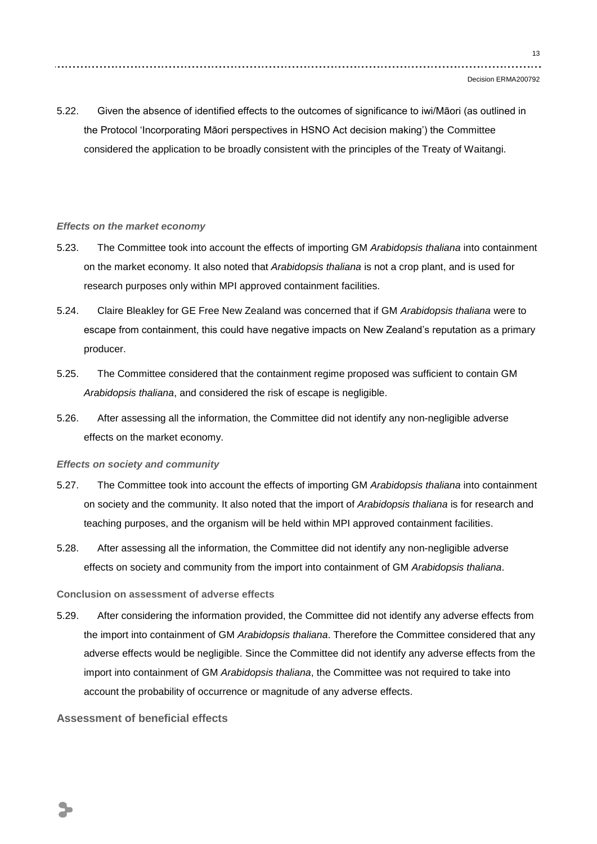5.22. Given the absence of identified effects to the outcomes of significance to iwi/Māori (as outlined in the Protocol "Incorporating Māori perspectives in HSNO Act decision making") the Committee considered the application to be broadly consistent with the principles of the Treaty of Waitangi.

#### *Effects on the market economy*

- 5.23. The Committee took into account the effects of importing GM *Arabidopsis thaliana* into containment on the market economy. It also noted that *Arabidopsis thaliana* is not a crop plant, and is used for research purposes only within MPI approved containment facilities.
- 5.24. Claire Bleakley for GE Free New Zealand was concerned that if GM *Arabidopsis thaliana* were to escape from containment, this could have negative impacts on New Zealand"s reputation as a primary producer.
- 5.25. The Committee considered that the containment regime proposed was sufficient to contain GM *Arabidopsis thaliana*, and considered the risk of escape is negligible.
- 5.26. After assessing all the information, the Committee did not identify any non-negligible adverse effects on the market economy.

#### *Effects on society and community*

- 5.27. The Committee took into account the effects of importing GM *Arabidopsis thaliana* into containment on society and the community. It also noted that the import of *Arabidopsis thaliana* is for research and teaching purposes, and the organism will be held within MPI approved containment facilities.
- 5.28. After assessing all the information, the Committee did not identify any non-negligible adverse effects on society and community from the import into containment of GM *Arabidopsis thaliana*.

### **Conclusion on assessment of adverse effects**

5.29. After considering the information provided, the Committee did not identify any adverse effects from the import into containment of GM *Arabidopsis thaliana*. Therefore the Committee considered that any adverse effects would be negligible. Since the Committee did not identify any adverse effects from the import into containment of GM *Arabidopsis thaliana*, the Committee was not required to take into account the probability of occurrence or magnitude of any adverse effects.

## **Assessment of beneficial effects**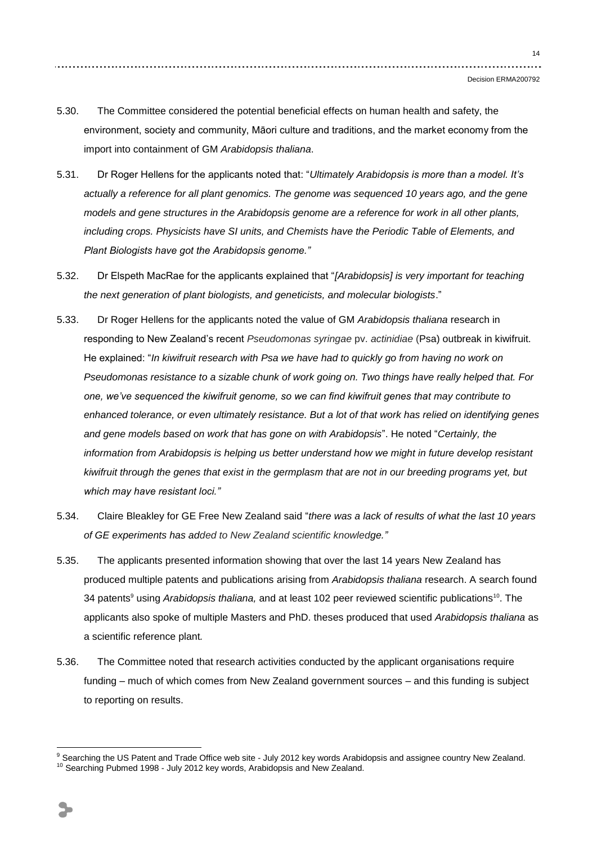- 5.30. The Committee considered the potential beneficial effects on human health and safety, the environment, society and community, Māori culture and traditions, and the market economy from the import into containment of GM *Arabidopsis thaliana*.
- 5.31. Dr Roger Hellens for the applicants noted that: "*Ultimately Arabidopsis is more than a model. It's actually a reference for all plant genomics. The genome was sequenced 10 years ago, and the gene models and gene structures in the Arabidopsis genome are a reference for work in all other plants, including crops. Physicists have SI units, and Chemists have the Periodic Table of Elements, and Plant Biologists have got the Arabidopsis genome."*
- 5.32. Dr Elspeth MacRae for the applicants explained that "*[Arabidopsis] is very important for teaching the next generation of plant biologists, and geneticists, and molecular biologists*."
- 5.33. Dr Roger Hellens for the applicants noted the value of GM *Arabidopsis thaliana* research in responding to New Zealand"s recent *Pseudomonas syringae* pv. *actinidiae* (Psa) outbreak in kiwifruit. He explained: "*In kiwifruit research with Psa we have had to quickly go from having no work on Pseudomonas resistance to a sizable chunk of work going on. Two things have really helped that. For one, we've sequenced the kiwifruit genome, so we can find kiwifruit genes that may contribute to enhanced tolerance, or even ultimately resistance. But a lot of that work has relied on identifying genes and gene models based on work that has gone on with Arabidopsis*". He noted "*Certainly, the information from Arabidopsis is helping us better understand how we might in future develop resistant kiwifruit through the genes that exist in the germplasm that are not in our breeding programs yet, but which may have resistant loci."*
- 5.34. Claire Bleakley for GE Free New Zealand said "*there was a lack of results of what the last 10 years of GE experiments has added to New Zealand scientific knowledge."*
- 5.35. The applicants presented information showing that over the last 14 years New Zealand has produced multiple patents and publications arising from *Arabidopsis thaliana* research. A search found 34 patents<sup>9</sup> using *Arabidopsis thaliana*, and at least 102 peer reviewed scientific publications<sup>10</sup>. The applicants also spoke of multiple Masters and PhD. theses produced that used *Arabidopsis thaliana* as a scientific reference plant*.*
- 5.36. The Committee noted that research activities conducted by the applicant organisations require funding – much of which comes from New Zealand government sources – and this funding is subject to reporting on results.

<u>.</u>

<sup>&</sup>lt;sup>9</sup> Searching the US Patent and Trade Office web site - July 2012 key words Arabidopsis and assignee country New Zealand. <sup>10</sup> Searching Pubmed 1998 - July 2012 key words, Arabidopsis and New Zealand.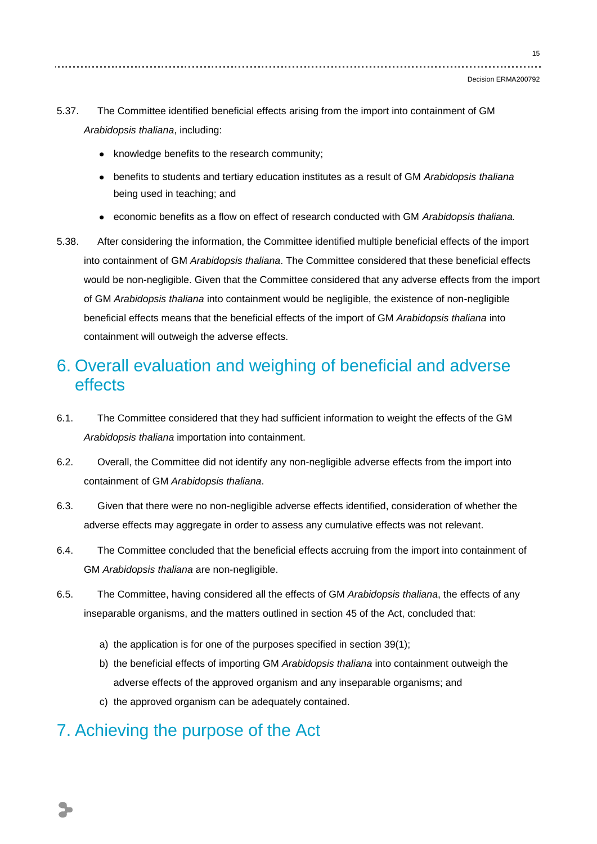- 5.37. The Committee identified beneficial effects arising from the import into containment of GM *Arabidopsis thaliana*, including:
	- knowledge benefits to the research community;
	- benefits to students and tertiary education institutes as a result of GM *Arabidopsis thaliana* being used in teaching; and
	- economic benefits as a flow on effect of research conducted with GM *Arabidopsis thaliana.*  $\bullet$
- 5.38. After considering the information, the Committee identified multiple beneficial effects of the import into containment of GM *Arabidopsis thaliana*. The Committee considered that these beneficial effects would be non-negligible. Given that the Committee considered that any adverse effects from the import of GM *Arabidopsis thaliana* into containment would be negligible, the existence of non-negligible beneficial effects means that the beneficial effects of the import of GM *Arabidopsis thaliana* into containment will outweigh the adverse effects.

## 6. Overall evaluation and weighing of beneficial and adverse effects

- 6.1. The Committee considered that they had sufficient information to weight the effects of the GM *Arabidopsis thaliana* importation into containment.
- 6.2. Overall, the Committee did not identify any non-negligible adverse effects from the import into containment of GM *Arabidopsis thaliana*.
- 6.3. Given that there were no non-negligible adverse effects identified, consideration of whether the adverse effects may aggregate in order to assess any cumulative effects was not relevant.
- 6.4. The Committee concluded that the beneficial effects accruing from the import into containment of GM *Arabidopsis thaliana* are non-negligible.
- 6.5. The Committee, having considered all the effects of GM *Arabidopsis thaliana*, the effects of any inseparable organisms, and the matters outlined in section 45 of the Act, concluded that:
	- a) the application is for one of the purposes specified in section 39(1);
	- b) the beneficial effects of importing GM *Arabidopsis thaliana* into containment outweigh the adverse effects of the approved organism and any inseparable organisms; and
	- c) the approved organism can be adequately contained.

## 7. Achieving the purpose of the Act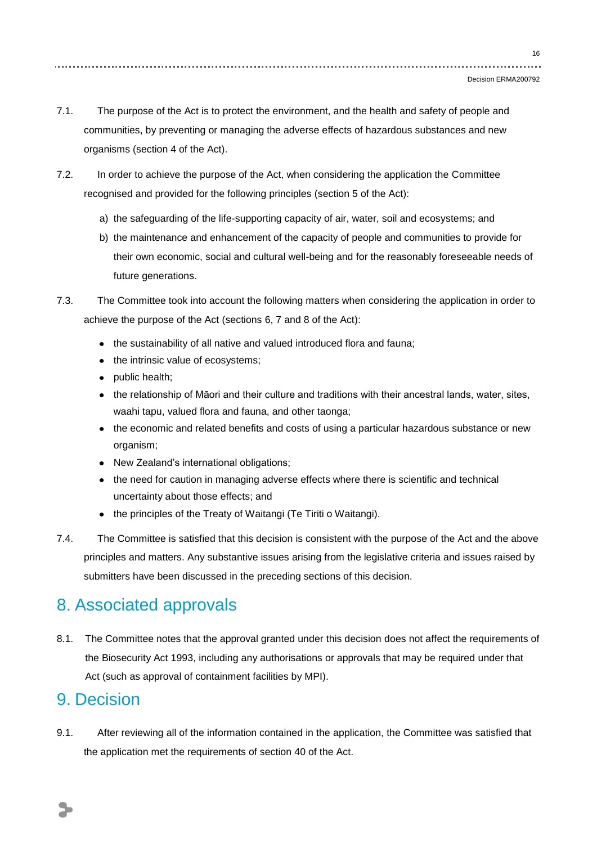- 7.1. The purpose of the Act is to protect the environment, and the health and safety of people and communities, by preventing or managing the adverse effects of hazardous substances and new organisms (section 4 of the Act).
- 7.2. In order to achieve the purpose of the Act, when considering the application the Committee recognised and provided for the following principles (section 5 of the Act):
	- a) the safeguarding of the life-supporting capacity of air, water, soil and ecosystems; and
	- b) the maintenance and enhancement of the capacity of people and communities to provide for their own economic, social and cultural well-being and for the reasonably foreseeable needs of future generations.
- 7.3. The Committee took into account the following matters when considering the application in order to achieve the purpose of the Act (sections 6, 7 and 8 of the Act):
	- the sustainability of all native and valued introduced flora and fauna;
	- the intrinsic value of ecosystems;
	- public health;
	- the relationship of Māori and their culture and traditions with their ancestral lands, water, sites, waahi tapu, valued flora and fauna, and other taonga;
	- the economic and related benefits and costs of using a particular hazardous substance or new organism;
	- New Zealand"s international obligations;
	- the need for caution in managing adverse effects where there is scientific and technical uncertainty about those effects; and
	- the principles of the Treaty of Waitangi (Te Tiriti o Waitangi).
- 7.4. The Committee is satisfied that this decision is consistent with the purpose of the Act and the above principles and matters. Any substantive issues arising from the legislative criteria and issues raised by submitters have been discussed in the preceding sections of this decision.

## 8. Associated approvals

8.1. The Committee notes that the approval granted under this decision does not affect the requirements of the Biosecurity Act 1993, including any authorisations or approvals that may be required under that Act (such as approval of containment facilities by MPI).

## 9. Decision

9.1. After reviewing all of the information contained in the application, the Committee was satisfied that the application met the requirements of section 40 of the Act.

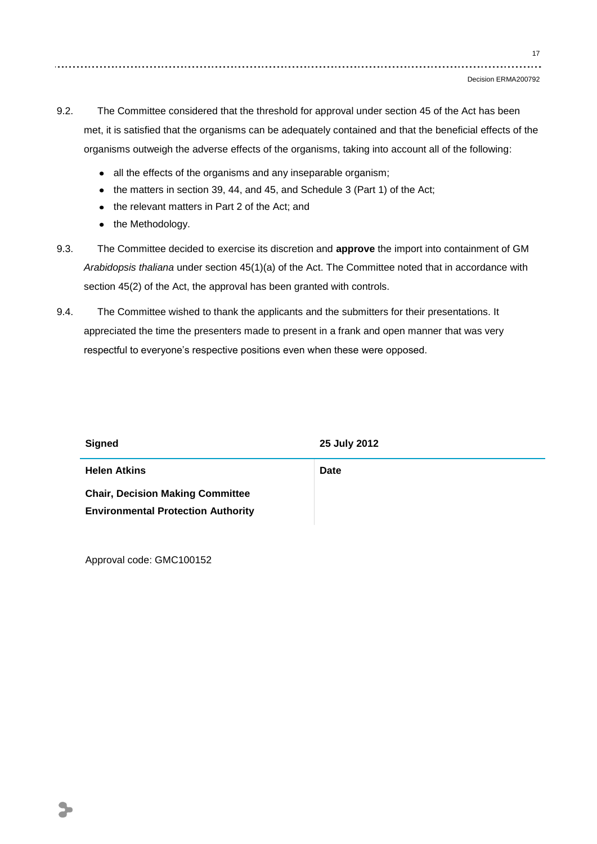17

- 9.2. The Committee considered that the threshold for approval under section 45 of the Act has been met, it is satisfied that the organisms can be adequately contained and that the beneficial effects of the organisms outweigh the adverse effects of the organisms, taking into account all of the following:
	- all the effects of the organisms and any inseparable organism;
	- the matters in section 39, 44, and 45, and Schedule 3 (Part 1) of the Act;
	- the relevant matters in Part 2 of the Act; and
	- the Methodology.
- 9.3. The Committee decided to exercise its discretion and **approve** the import into containment of GM *Arabidopsis thaliana* under section 45(1)(a) of the Act. The Committee noted that in accordance with section 45(2) of the Act, the approval has been granted with controls.
- 9.4. The Committee wished to thank the applicants and the submitters for their presentations. It appreciated the time the presenters made to present in a frank and open manner that was very respectful to everyone's respective positions even when these were opposed.

| <b>Signed</b>                                                                        | 25 July 2012 |
|--------------------------------------------------------------------------------------|--------------|
| <b>Helen Atkins</b>                                                                  | <b>Date</b>  |
| <b>Chair, Decision Making Committee</b><br><b>Environmental Protection Authority</b> |              |

Approval code: GMC100152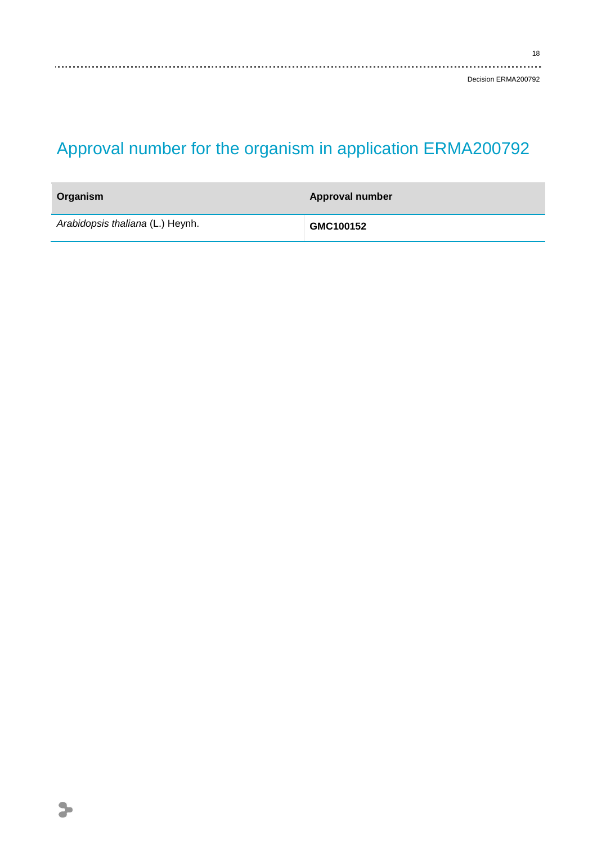18

# Approval number for the organism in application ERMA200792

| Organism                         | <b>Approval number</b> |
|----------------------------------|------------------------|
| Arabidopsis thaliana (L.) Heynh. | GMC100152              |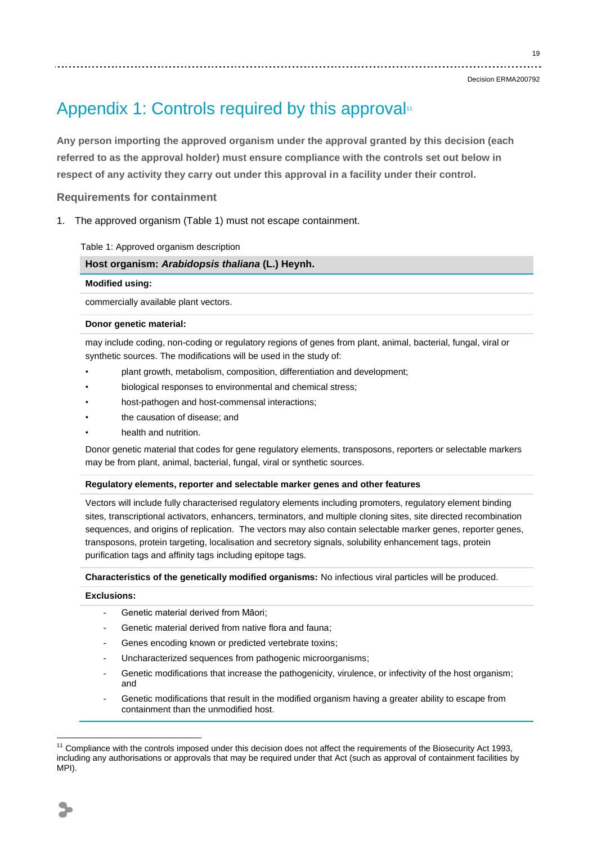#### Decision ERMA200792

# Appendix 1: Controls required by this approval<sup>11</sup>

**Any person importing the approved organism under the approval granted by this decision (each referred to as the approval holder) must ensure compliance with the controls set out below in respect of any activity they carry out under this approval in a facility under their control.**

### **Requirements for containment**

1. The approved organism (Table 1) must not escape containment.

Table 1: Approved organism description

#### **Host organism:** *Arabidopsis thaliana* **(L.) Heynh.**

#### **Modified using:**

commercially available plant vectors.

#### **Donor genetic material:**

may include coding, non-coding or regulatory regions of genes from plant, animal, bacterial, fungal, viral or synthetic sources. The modifications will be used in the study of:

- plant growth, metabolism, composition, differentiation and development;
- biological responses to environmental and chemical stress;
- host-pathogen and host-commensal interactions;
- the causation of disease; and
- health and nutrition.

Donor genetic material that codes for gene regulatory elements, transposons, reporters or selectable markers may be from plant, animal, bacterial, fungal, viral or synthetic sources.

#### **Regulatory elements, reporter and selectable marker genes and other features**

Vectors will include fully characterised regulatory elements including promoters, regulatory element binding sites, transcriptional activators, enhancers, terminators, and multiple cloning sites, site directed recombination sequences, and origins of replication. The vectors may also contain selectable marker genes, reporter genes, transposons, protein targeting, localisation and secretory signals, solubility enhancement tags, protein purification tags and affinity tags including epitope tags.

**Characteristics of the genetically modified organisms:** No infectious viral particles will be produced.

### **Exclusions:**

- Genetic material derived from Māori:
- Genetic material derived from native flora and fauna;
- Genes encoding known or predicted vertebrate toxins;
- Uncharacterized sequences from pathogenic microorganisms;
- Genetic modifications that increase the pathogenicity, virulence, or infectivity of the host organism; and
- Genetic modifications that result in the modified organism having a greater ability to escape from containment than the unmodified host.

<u>.</u>

 $11$  Compliance with the controls imposed under this decision does not affect the requirements of the Biosecurity Act 1993, including any authorisations or approvals that may be required under that Act (such as approval of containment facilities by MPI).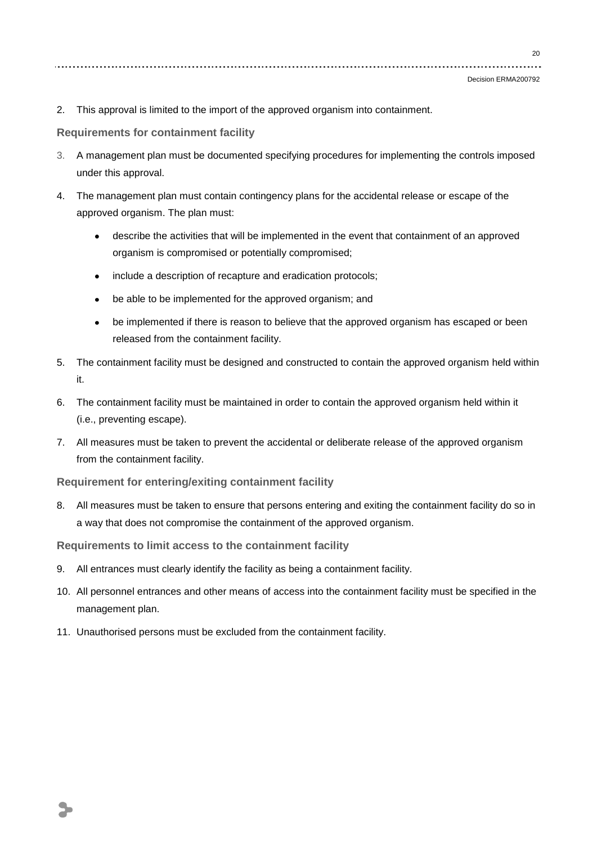```
Decision ERMA200792
```
2. This approval is limited to the import of the approved organism into containment.

**Requirements for containment facility**

- 3. A management plan must be documented specifying procedures for implementing the controls imposed under this approval.
- 4. The management plan must contain contingency plans for the accidental release or escape of the approved organism. The plan must:
	- describe the activities that will be implemented in the event that containment of an approved organism is compromised or potentially compromised;
	- include a description of recapture and eradication protocols;  $\bullet$  .
	- be able to be implemented for the approved organism; and  $\bullet$
	- be implemented if there is reason to believe that the approved organism has escaped or been  $\bullet$ released from the containment facility.
- 5. The containment facility must be designed and constructed to contain the approved organism held within it.
- 6. The containment facility must be maintained in order to contain the approved organism held within it (i.e., preventing escape).
- 7. All measures must be taken to prevent the accidental or deliberate release of the approved organism from the containment facility.

**Requirement for entering/exiting containment facility**

8. All measures must be taken to ensure that persons entering and exiting the containment facility do so in a way that does not compromise the containment of the approved organism.

**Requirements to limit access to the containment facility**

- 9. All entrances must clearly identify the facility as being a containment facility.
- 10. All personnel entrances and other means of access into the containment facility must be specified in the management plan.
- 11. Unauthorised persons must be excluded from the containment facility.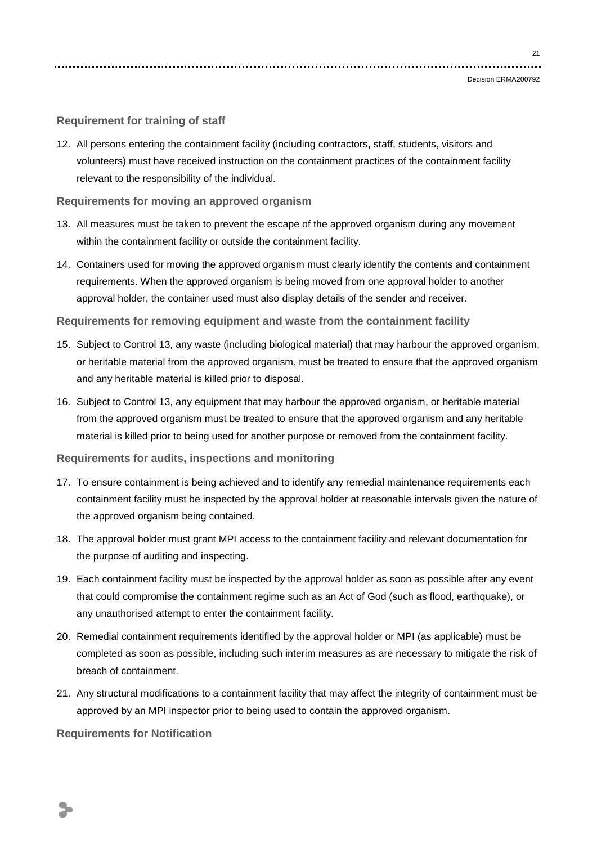**Requirement for training of staff**

12. All persons entering the containment facility (including contractors, staff, students, visitors and volunteers) must have received instruction on the containment practices of the containment facility relevant to the responsibility of the individual.

### **Requirements for moving an approved organism**

- 13. All measures must be taken to prevent the escape of the approved organism during any movement within the containment facility or outside the containment facility.
- 14. Containers used for moving the approved organism must clearly identify the contents and containment requirements. When the approved organism is being moved from one approval holder to another approval holder, the container used must also display details of the sender and receiver.

**Requirements for removing equipment and waste from the containment facility**

- 15. Subject to Control 13, any waste (including biological material) that may harbour the approved organism, or heritable material from the approved organism, must be treated to ensure that the approved organism and any heritable material is killed prior to disposal.
- 16. Subject to Control 13, any equipment that may harbour the approved organism, or heritable material from the approved organism must be treated to ensure that the approved organism and any heritable material is killed prior to being used for another purpose or removed from the containment facility.

**Requirements for audits, inspections and monitoring**

- 17. To ensure containment is being achieved and to identify any remedial maintenance requirements each containment facility must be inspected by the approval holder at reasonable intervals given the nature of the approved organism being contained.
- 18. The approval holder must grant MPI access to the containment facility and relevant documentation for the purpose of auditing and inspecting.
- 19. Each containment facility must be inspected by the approval holder as soon as possible after any event that could compromise the containment regime such as an Act of God (such as flood, earthquake), or any unauthorised attempt to enter the containment facility.
- 20. Remedial containment requirements identified by the approval holder or MPI (as applicable) must be completed as soon as possible, including such interim measures as are necessary to mitigate the risk of breach of containment.
- 21. Any structural modifications to a containment facility that may affect the integrity of containment must be approved by an MPI inspector prior to being used to contain the approved organism.

**Requirements for Notification**